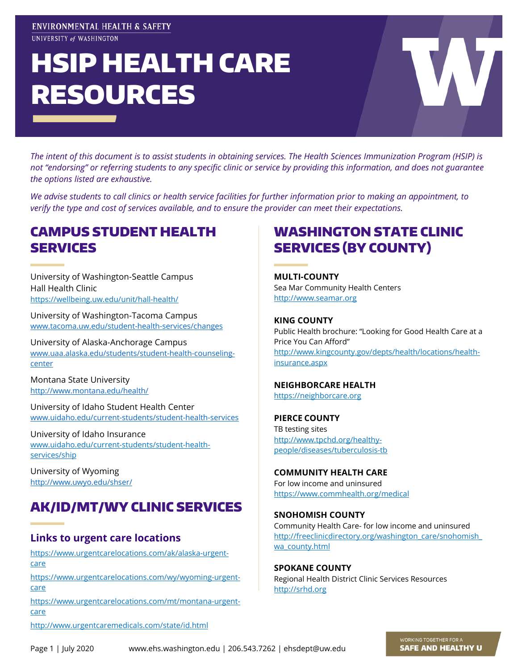#### ENVIRONMENTAL HEALTH & SAFETY UNIVERSITY of WASHINGTON

# HSIP HEALTH CARE RESOURCES

*The intent of this document is to assist students in obtaining services. The Health Sciences Immunization Program (HSIP) is not "endorsing" or referring students to any specific clinic or service by providing this information, and does not guarantee the options listed are exhaustive.* 

*We advise students to call clinics or health service facilities for further information prior to making an appointment, to verify the type and cost of services available, and to ensure the provider can meet their expectations.*

## CAMPUS STUDENT HEALTH SERVICES

University of Washington-Seattle Campus Hall Health Clinic <https://wellbeing.uw.edu/unit/hall-health/>

[University of Washington-Tacoma Campus](https://www.tacoma.uw.edu/student-health-services/changes) [www.tacoma.uw.edu/student-health-services/changes](http://www.tacoma.uw.edu/student-health-services/changes)

[University of Alaska-Anchorage Campus](http://www.uaa.alaska.edu/studenthealth/) [www.uaa.alaska.edu/students/student-health-counseling](http://www.uaa.alaska.edu/students/student-health-counseling-center)[center](http://www.uaa.alaska.edu/students/student-health-counseling-center)

[Montana State University](http://www.montana.edu/health/) <http://www.montana.edu/health/>

[University of Idaho Student Health Ce](http://www.uidaho.edu/studentaffairs/studenthealthcenter)nter [www.uidaho.edu/current-students/student-health-services](http://www.uidaho.edu/current-students/student-health-services)

[University of Idaho Insurance](http://www.uidaho.edu/studentaffairs/studenthealthcenter/ship/Future%20Students) [www.uidaho.edu/current-students/student-health](http://www.uidaho.edu/current-students/student-health-services/ship)[services/ship](http://www.uidaho.edu/current-students/student-health-services/ship)

[University of Wyoming](http://www.uwyo.edu/administration/operations/risk-management/information.html) <http://www.uwyo.edu/shser/>

# AK/ID/MT/WY CLINIC SERVICES

#### **Links to urgent care locations**

[https://www.urgentcarelocations.com/ak/alaska-urgent](https://www.urgentcarelocations.com/ak/alaska-urgent-care)[care](https://www.urgentcarelocations.com/ak/alaska-urgent-care)

[https://www.urgentcarelocations.com/wy/wyoming-urgent](https://www.urgentcarelocations.com/wy/wyoming-urgent-care)[care](https://www.urgentcarelocations.com/wy/wyoming-urgent-care)

[https://www.urgentcarelocations.com/mt/montana-urgent](https://www.urgentcarelocations.com/mt/montana-urgent-care)[care](https://www.urgentcarelocations.com/mt/montana-urgent-care)

WASHINGTON STATE CLINIC SERVICES (BY COUNTY)

**MULTI-COUNTY** [Sea Mar Community Health Centers](http://www.seamar.org/service_location.php) [http://www.seamar.org](http://www.seamar.org/)

**KING COUNTY** Public Health brochure: ["Looking for Good Health Care](http://www.kingcounty.gov/healthservices/health/personal/insurance.aspx) [at a](http://www.kingcounty.gov/healthservices/health/personal/insurance.aspx)  [Price You Can Afford"](http://www.kingcounty.gov/healthservices/health/personal/insurance.aspx) [http://www.kingcounty.gov/depts/health/locations/health](http://www.kingcounty.gov/depts/health/locations/health-insurance.aspx)[insurance.aspx](http://www.kingcounty.gov/depts/health/locations/health-insurance.aspx)

#### **NEIGHBORCARE HEALTH**

[https://neighborcare.org](https://neighborcare.org/)

**PIERCE COUNTY** [TB testing sites](http://www.tpchd.org/files/library/957915cac1b17de5.pdf) [http://www.tpchd.org/healthy](http://www.tpchd.org/healthy-people/diseases/tuberculosis-tb)[people/diseases/tuberculosis-tb](http://www.tpchd.org/healthy-people/diseases/tuberculosis-tb)

**[COMMUNITY HEALTH CARE](https://www.commhealth.org/medical/)** [For low income and uninsured](https://www.commhealth.org/medical/) <https://www.commhealth.org/medical>

**SNOHOMISH COUNTY** Community Health Care- [for low income and uninsured](http://freeclinicdirectory.org/washington_care/snohomish_wa_county.html) [http://freeclinicdirectory.org/washington\\_care/snohomish\\_](http://freeclinicdirectory.org/washington_care/snohomish_wa_county.html) [wa\\_county.html](http://freeclinicdirectory.org/washington_care/snohomish_wa_county.html)

**SPOKANE COUNTY** [Regional Health District Clinic Services Resources](http://www.srhd.org/services/clinic.asp) [http://srhd.org](http://srhd.org/)

<http://www.urgentcaremedicals.com/state/id.html>